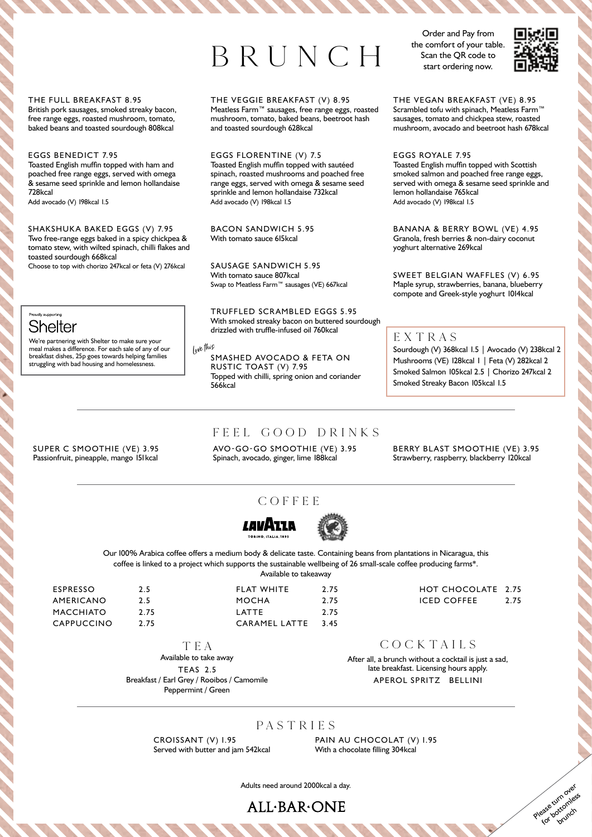# BRUNCH

Order and Pay from the comfort of your table. Scan the QR code to start ordering now.



#### THE FULL BREAKFAST 8.95

British pork sausages, smoked streaky bacon, free range eggs, roasted mushroom, tomato, baked beans and toasted sourdough 808kcal

#### EGGS BENEDICT 7.95

Toasted English muffin topped with ham and poached free range eggs, served with omega & sesame seed sprinkle and lemon hollandaise 728kcal

Add avocado (V) 198kcal 1.5

# SHAKSHUKA BAKED EGGS (V) 7.95

Two free-range eggs baked in a spicy chickpea & tomato stew, with wilted spinach, chilli flakes and toasted sourdough 668kcal

Choose to top with chorizo 247kcal or feta (V) 276kcal

## .<br>Proudly europorting **Shelter**

We're partnering with Shelter to make sure your meal makes a difference. For each sale of any of our breakfast dishes, 25p goes towards helping families struggling with bad housing and homelessness.

SUPER C SMOOTHIE (VE) 3.95 Passionfruit, pineapple, mango 151 kcal

## THE VEGGIE BREAKFAST (V) 8.95

Meatless Farm™ sausages, free range eggs, roasted mushroom, tomato, baked beans, beetroot hash and toasted sourdough 628kcal

EGGS FLORENTINE (V) 7.5 Toasted English muffin topped with sautéed spinach, roasted mushrooms and poached free range eggs, served with omega & sesame seed sprinkle and lemon hollandaise 732kcal Add avocado (V) 198kcal 1.5

BACON SANDWICH 5.95 With tomato sauce 615kcal

SAUSAGE SANDWICH 5.95 With tomato sauce 807kcal Swap to Meatless Farm™ sausages (VE) 667kcal

TRUFFLED SCRAMBLED EGGS 5.95 With smoked streaky bacon on buttered sourdough drizzled with truffle-infused oil 760kcal

Lov<sup>e</sup> thi<sup>s</sup>

SMASHED AVOCADO & FETA ON RUSTIC TOAST (V) 7.95 Topped with chilli, spring onion and coriander 566kcal

THE VEGAN BREAKFAST (VE) 8.95 Scrambled tofu with spinach, Meatless Farm™ sausages, tomato and chickpea stew, roasted mushroom, avocado and beetroot hash 678kcal

EGGS ROYALE 7.95 Toasted English muffin topped with Scottish smoked salmon and poached free range eggs, served with omega & sesame seed sprinkle and lemon hollandaise 765kcal Add avocado (V) 198kcal 1.5

BANANA & BERRY BOWL (VE) 4.95 Granola, fresh berries & non-dairy coconut yoghurt alternative 269kcal

SWEET BELGIAN WAFFLES (V) 6.95 Maple syrup, strawberries, banana, blueberry compote and Greek-style yoghurt 1014kcal

## EXTRAS

Sourdough (V) 368kcal 1.5 | Avocado (V) 238kcal 2 Mushrooms (VE) 128kcal 1 | Feta (V) 282kcal 2 Smoked Salmon 105kcal 2.5 | Chorizo 247kcal 2 Smoked Streaky Bacon 105kcal 1.5

# FEEL GOOD DRINKS

AVO-GO-GO SMOOTHIE (VE) 3.95 Spinach, avocado, ginger, lime 188kcal

BERRY BLAST SMOOTHIE (VE) 3.95 Strawberry, raspberry, blackberry 120kcal

## COFFEE COFFEE





coffee is linked to a project which supports the sustainable wellbeing of 26 small-scale coffee producing farms\*. Our 100% Arabica coffee offers a medium body & delicate taste. Containing beans from plantations in Nicaragua, this Available to takeaway

| ESPRESSO         | 2.5 |
|------------------|-----|
| AMERICANO        | 2.5 |
| <b>MACCHIATO</b> | 2.7 |
| CAPPUCCINO       | 2.7 |

MACCHINE COMPANY PLAN  $\overline{a}$ FLAT WHITE 2.75 MOCHA 2.75 LATTE 2.75 CARAMEL LATTE 3.45

5
HOT CHOCOLATE
2.75 HOT CHOCOLATE 2.75 ICED COFFEE 2.75

> Please turn over for bottomless

TEA TEA

2.75 2.75

Available to take away Available to take away

TEAS 2.5 TEAS 2.5 Breakfast / Earl Grey / Rooibos / Camomile Breakfast / Earl Grey / Rooibos / Camomile Peppermint / Green Peppermint / Green

COCKTAILS COCKTAILS

After all, a brunch without a cocktail is just a sad, After all, a brunch without a cocktail is just a sad, late breakfast. Licensing hours apply. late breakfast. Licensing hours apply. APEROL SPRITZ BELLINI APEROL SPRITZ BELLINI

## PASTR IE S

CROISSANT (V) 1.95 Served with butter and jam 542kcal PAIN AU CHOCOLAT (V) 1.95 With a chocolate filling 304kcal

Adults need around 2000kcal a day.

**ALL.BAR.ONE**